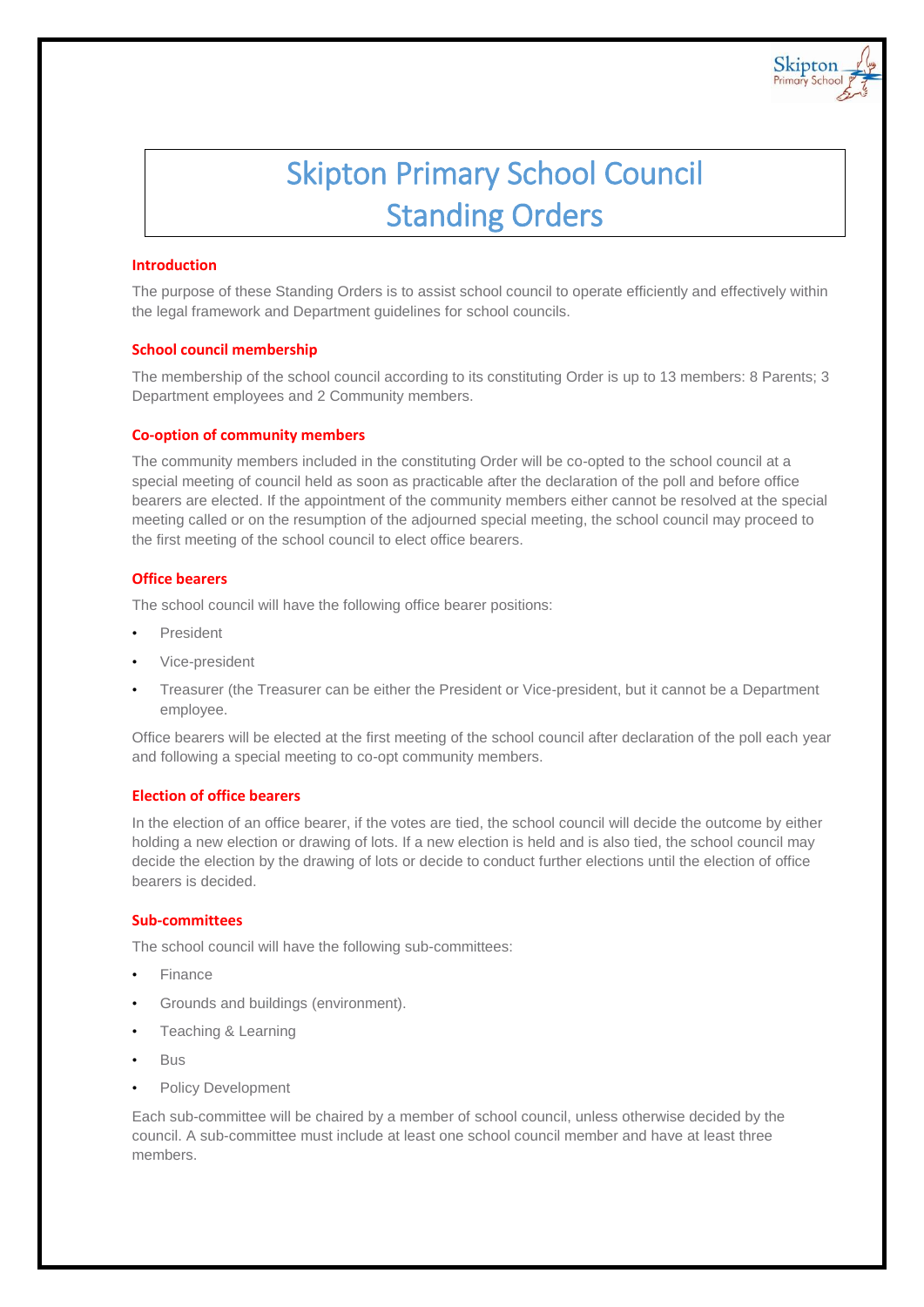

Skipton

#### **Introduction**

The purpose of these Standing Orders is to assist school council to operate efficiently and effectively within the legal framework and Department guidelines for school councils.

#### **School council membership**

The membership of the school council according to its constituting Order is up to 13 members: 8 Parents; 3 Department employees and 2 Community members.

#### **Co-option of community members**

The community members included in the constituting Order will be co-opted to the school council at a special meeting of council held as soon as practicable after the declaration of the poll and before office bearers are elected. If the appointment of the community members either cannot be resolved at the special meeting called or on the resumption of the adjourned special meeting, the school council may proceed to the first meeting of the school council to elect office bearers.

#### **Office bearers**

The school council will have the following office bearer positions:

- President
- Vice-president
- Treasurer (the Treasurer can be either the President or Vice-president, but it cannot be a Department employee.

Office bearers will be elected at the first meeting of the school council after declaration of the poll each year and following a special meeting to co-opt community members.

#### **Election of office bearers**

In the election of an office bearer, if the votes are tied, the school council will decide the outcome by either holding a new election or drawing of lots. If a new election is held and is also tied, the school council may decide the election by the drawing of lots or decide to conduct further elections until the election of office bearers is decided.

#### **Sub-committees**

The school council will have the following sub-committees:

- Finance
- Grounds and buildings (environment).
- Teaching & Learning
- Bus
- Policy Development

Each sub-committee will be chaired by a member of school council, unless otherwise decided by the council. A sub-committee must include at least one school council member and have at least three members.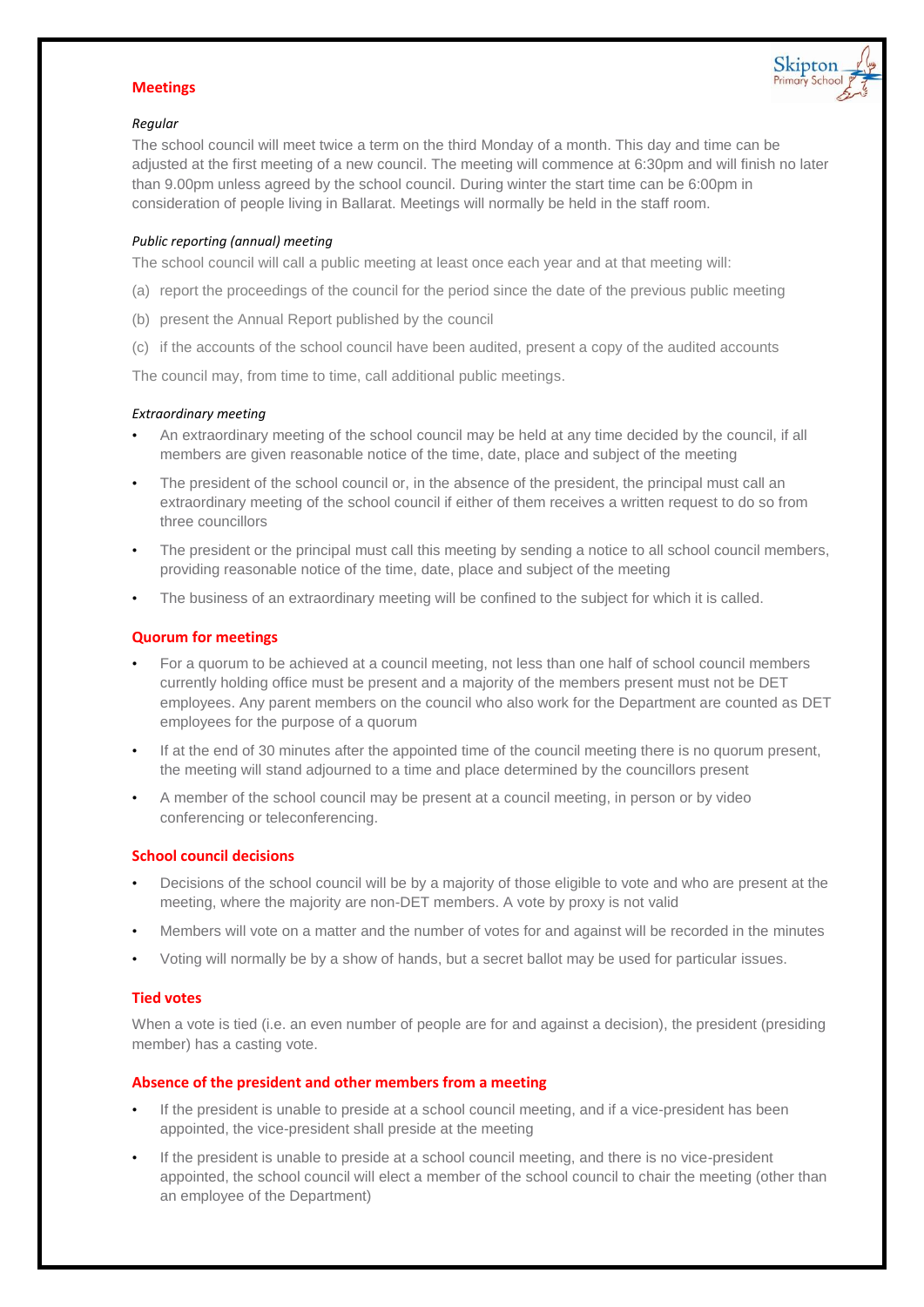#### **Meetings**



#### *Regular*

The school council will meet twice a term on the third Monday of a month. This day and time can be adjusted at the first meeting of a new council. The meeting will commence at 6:30pm and will finish no later than 9.00pm unless agreed by the school council. During winter the start time can be 6:00pm in consideration of people living in Ballarat. Meetings will normally be held in the staff room.

#### *Public reporting (annual) meeting*

The school council will call a public meeting at least once each year and at that meeting will:

- (a) report the proceedings of the council for the period since the date of the previous public meeting
- (b) present the Annual Report published by the council
- (c) if the accounts of the school council have been audited, present a copy of the audited accounts

The council may, from time to time, call additional public meetings.

#### *Extraordinary meeting*

- An extraordinary meeting of the school council may be held at any time decided by the council, if all members are given reasonable notice of the time, date, place and subject of the meeting
- The president of the school council or, in the absence of the president, the principal must call an extraordinary meeting of the school council if either of them receives a written request to do so from three councillors
- The president or the principal must call this meeting by sending a notice to all school council members, providing reasonable notice of the time, date, place and subject of the meeting
- The business of an extraordinary meeting will be confined to the subject for which it is called.

# **Quorum for meetings**

- For a quorum to be achieved at a council meeting, not less than one half of school council members currently holding office must be present and a majority of the members present must not be DET employees. Any parent members on the council who also work for the Department are counted as DET employees for the purpose of a quorum
- If at the end of 30 minutes after the appointed time of the council meeting there is no quorum present, the meeting will stand adjourned to a time and place determined by the councillors present
- A member of the school council may be present at a council meeting, in person or by video conferencing or teleconferencing.

## **School council decisions**

- Decisions of the school council will be by a majority of those eligible to vote and who are present at the meeting, where the majority are non-DET members. A vote by proxy is not valid
- Members will vote on a matter and the number of votes for and against will be recorded in the minutes
- Voting will normally be by a show of hands, but a secret ballot may be used for particular issues.

## **Tied votes**

When a vote is tied (i.e. an even number of people are for and against a decision), the president (presiding member) has a casting vote.

## **Absence of the president and other members from a meeting**

- If the president is unable to preside at a school council meeting, and if a vice-president has been appointed, the vice-president shall preside at the meeting
- If the president is unable to preside at a school council meeting, and there is no vice-president appointed, the school council will elect a member of the school council to chair the meeting (other than an employee of the Department)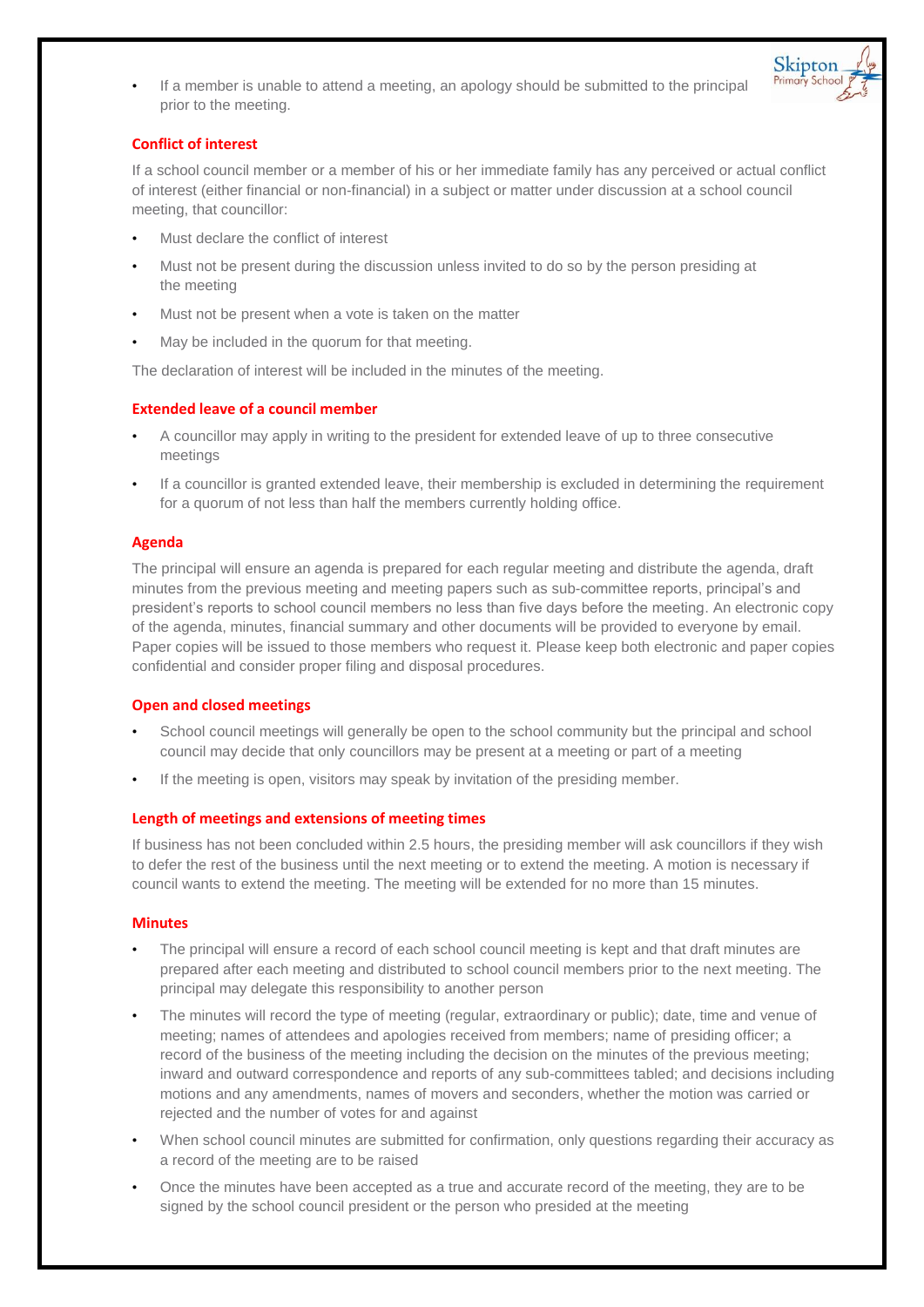If a member is unable to attend a meeting, an apology should be submitted to the principal prior to the meeting.



## **Conflict of interest**

If a school council member or a member of his or her immediate family has any perceived or actual conflict of interest (either financial or non-financial) in a subject or matter under discussion at a school council meeting, that councillor:

- Must declare the conflict of interest
- Must not be present during the discussion unless invited to do so by the person presiding at the meeting
- Must not be present when a vote is taken on the matter
- May be included in the quorum for that meeting.

The declaration of interest will be included in the minutes of the meeting.

## **Extended leave of a council member**

- A councillor may apply in writing to the president for extended leave of up to three consecutive meetings
- If a councillor is granted extended leave, their membership is excluded in determining the requirement for a quorum of not less than half the members currently holding office.

#### **Agenda**

The principal will ensure an agenda is prepared for each regular meeting and distribute the agenda, draft minutes from the previous meeting and meeting papers such as sub-committee reports, principal's and president's reports to school council members no less than five days before the meeting. An electronic copy of the agenda, minutes, financial summary and other documents will be provided to everyone by email. Paper copies will be issued to those members who request it. Please keep both electronic and paper copies confidential and consider proper filing and disposal procedures.

#### **Open and closed meetings**

- School council meetings will generally be open to the school community but the principal and school council may decide that only councillors may be present at a meeting or part of a meeting
- If the meeting is open, visitors may speak by invitation of the presiding member.

#### **Length of meetings and extensions of meeting times**

If business has not been concluded within 2.5 hours, the presiding member will ask councillors if they wish to defer the rest of the business until the next meeting or to extend the meeting. A motion is necessary if council wants to extend the meeting. The meeting will be extended for no more than 15 minutes.

#### **Minutes**

- The principal will ensure a record of each school council meeting is kept and that draft minutes are prepared after each meeting and distributed to school council members prior to the next meeting. The principal may delegate this responsibility to another person
- The minutes will record the type of meeting (regular, extraordinary or public); date, time and venue of meeting; names of attendees and apologies received from members; name of presiding officer; a record of the business of the meeting including the decision on the minutes of the previous meeting; inward and outward correspondence and reports of any sub-committees tabled; and decisions including motions and any amendments, names of movers and seconders, whether the motion was carried or rejected and the number of votes for and against
- When school council minutes are submitted for confirmation, only questions regarding their accuracy as a record of the meeting are to be raised
- Once the minutes have been accepted as a true and accurate record of the meeting, they are to be signed by the school council president or the person who presided at the meeting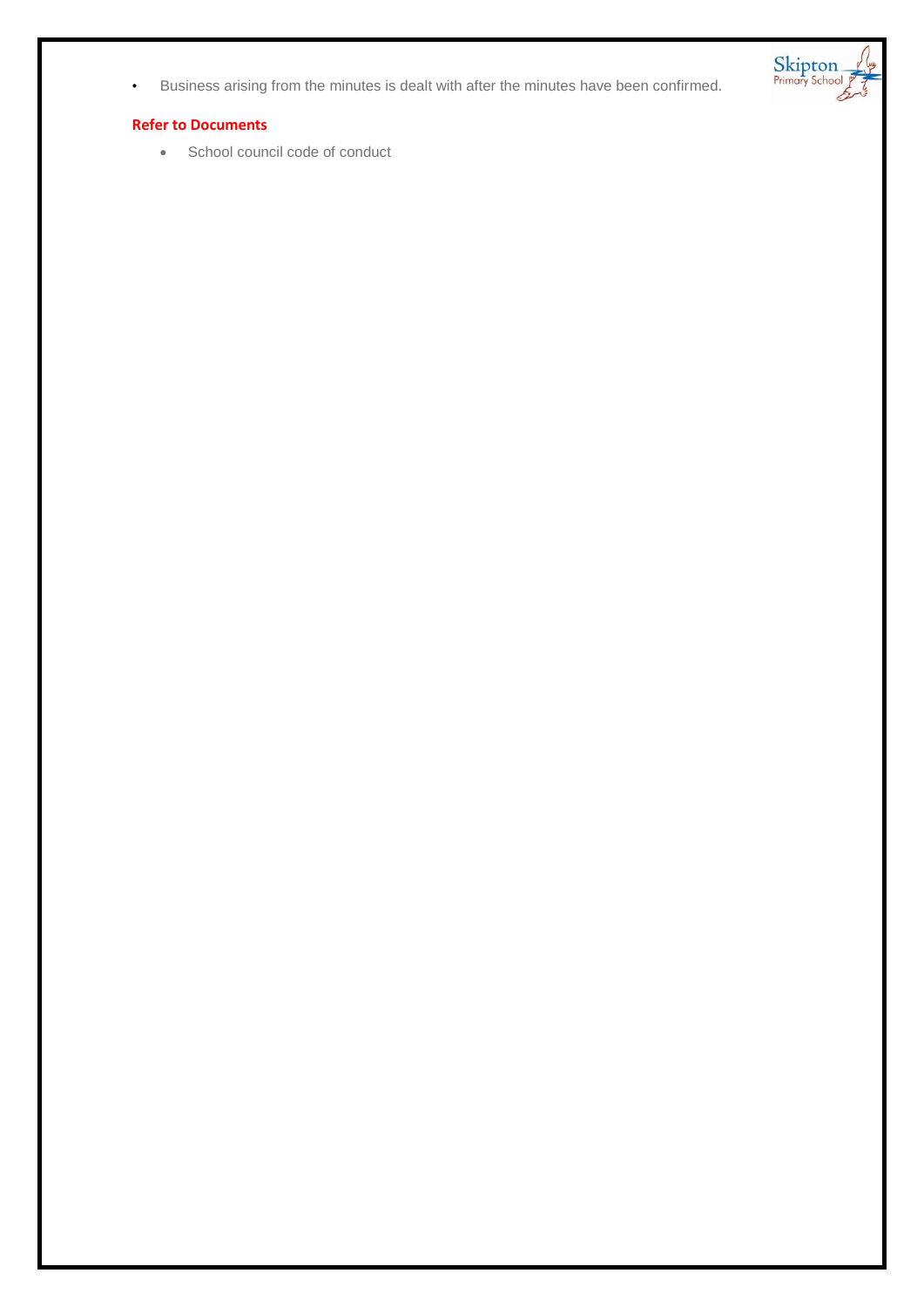• Business arising from the minutes is dealt with after the minutes have been confirmed.

#### **Refer to Documents**

School council code of conduct

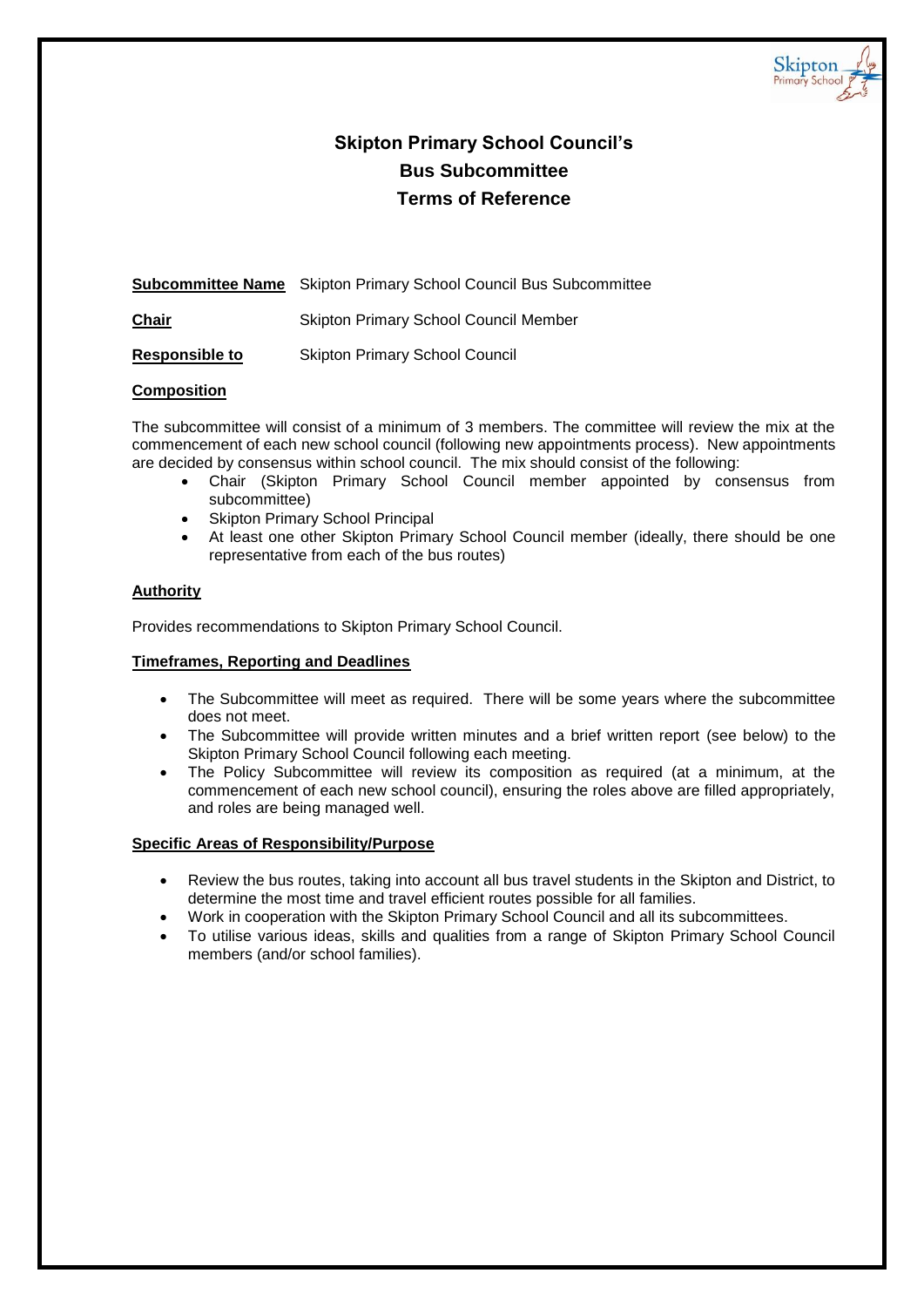

# **Skipton Primary School Council's Bus Subcommittee Terms of Reference**

**Subcommittee Name** Skipton Primary School Council Bus Subcommittee

**Chair** Skipton Primary School Council Member

**Responsible to** Skipton Primary School Council

# **Composition**

The subcommittee will consist of a minimum of 3 members. The committee will review the mix at the commencement of each new school council (following new appointments process). New appointments are decided by consensus within school council. The mix should consist of the following:

- Chair (Skipton Primary School Council member appointed by consensus from subcommittee)
- Skipton Primary School Principal
- At least one other Skipton Primary School Council member (ideally, there should be one representative from each of the bus routes)

# **Authority**

Provides recommendations to Skipton Primary School Council.

## **Timeframes, Reporting and Deadlines**

- The Subcommittee will meet as required. There will be some years where the subcommittee does not meet.
- The Subcommittee will provide written minutes and a brief written report (see below) to the Skipton Primary School Council following each meeting.
- The Policy Subcommittee will review its composition as required (at a minimum, at the commencement of each new school council), ensuring the roles above are filled appropriately, and roles are being managed well.

- Review the bus routes, taking into account all bus travel students in the Skipton and District, to determine the most time and travel efficient routes possible for all families.
- Work in cooperation with the Skipton Primary School Council and all its subcommittees.
- To utilise various ideas, skills and qualities from a range of Skipton Primary School Council members (and/or school families).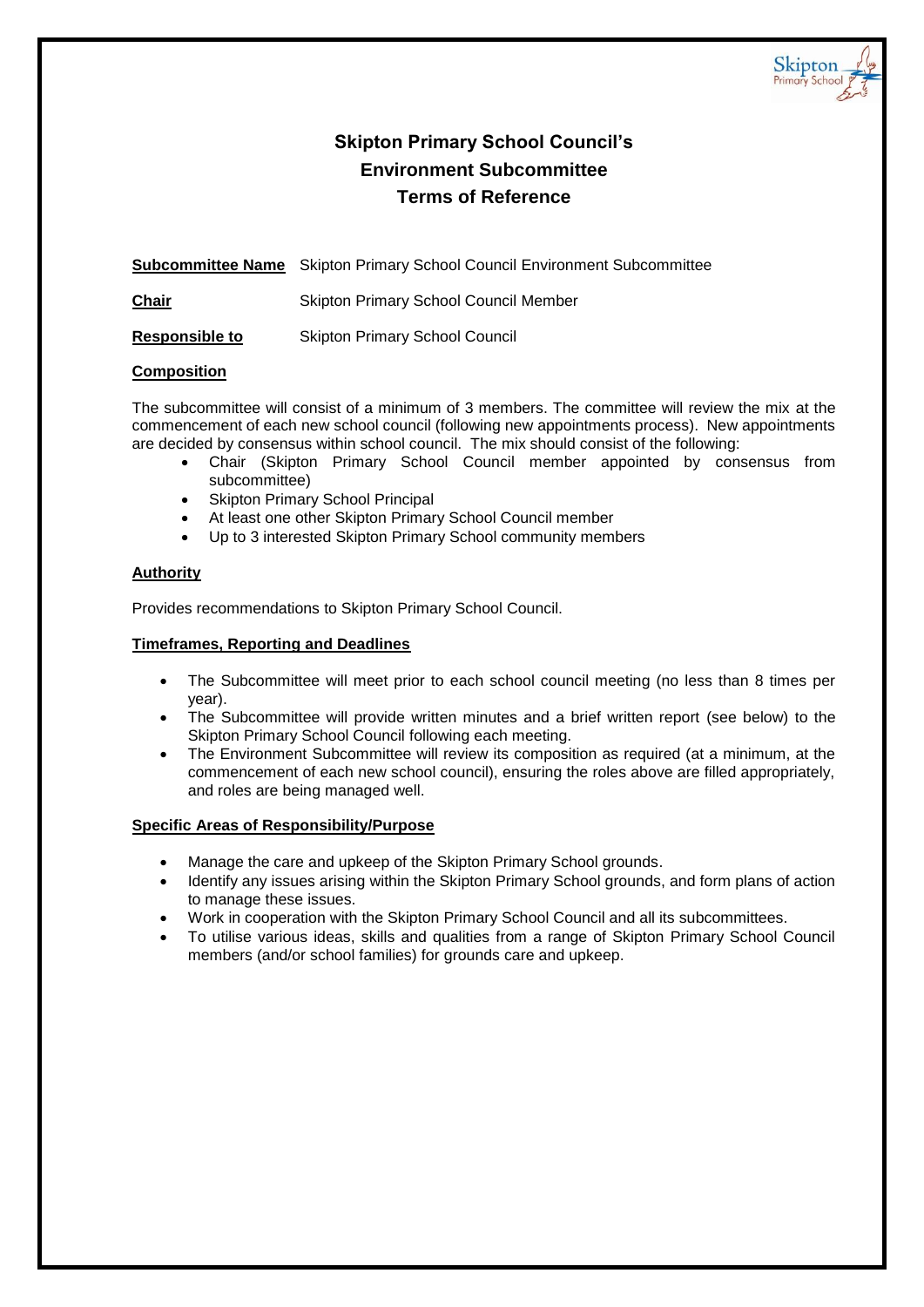

# **Skipton Primary School Council's Environment Subcommittee Terms of Reference**

**Subcommittee Name** Skipton Primary School Council Environment Subcommittee

**Chair** Skipton Primary School Council Member

**Responsible to** Skipton Primary School Council

# **Composition**

The subcommittee will consist of a minimum of 3 members. The committee will review the mix at the commencement of each new school council (following new appointments process). New appointments are decided by consensus within school council. The mix should consist of the following:

- Chair (Skipton Primary School Council member appointed by consensus from subcommittee)
- Skipton Primary School Principal
- At least one other Skipton Primary School Council member
- Up to 3 interested Skipton Primary School community members

# **Authority**

Provides recommendations to Skipton Primary School Council.

# **Timeframes, Reporting and Deadlines**

- The Subcommittee will meet prior to each school council meeting (no less than 8 times per year).
- The Subcommittee will provide written minutes and a brief written report (see below) to the Skipton Primary School Council following each meeting.
- The Environment Subcommittee will review its composition as required (at a minimum, at the commencement of each new school council), ensuring the roles above are filled appropriately, and roles are being managed well.

- Manage the care and upkeep of the Skipton Primary School grounds.
- Identify any issues arising within the Skipton Primary School grounds, and form plans of action to manage these issues.
- Work in cooperation with the Skipton Primary School Council and all its subcommittees.
- To utilise various ideas, skills and qualities from a range of Skipton Primary School Council members (and/or school families) for grounds care and upkeep.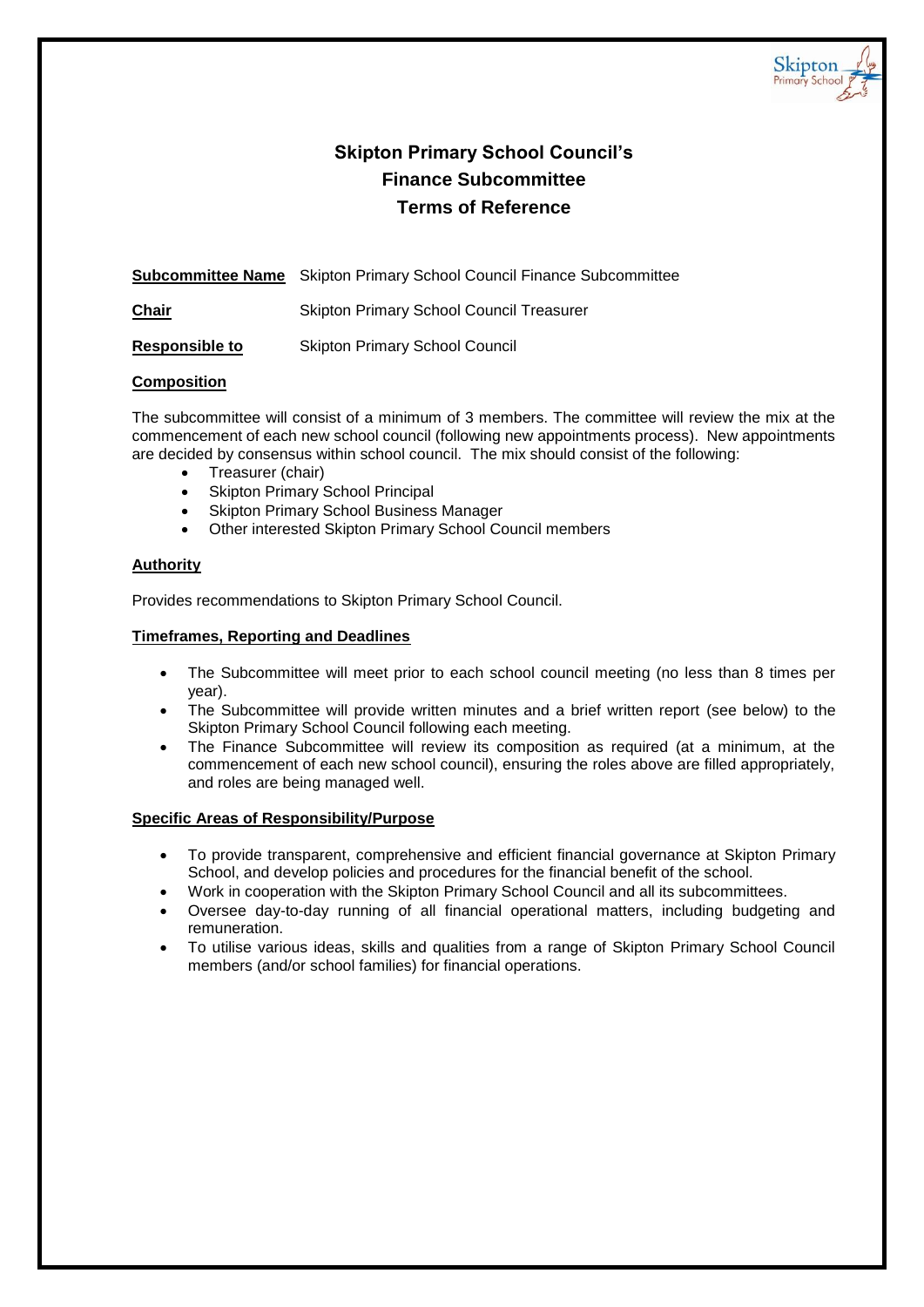

# **Skipton Primary School Council's Finance Subcommittee Terms of Reference**

**Subcommittee Name** Skipton Primary School Council Finance Subcommittee

**Chair** Skipton Primary School Council Treasurer

**Responsible to** Skipton Primary School Council

# **Composition**

The subcommittee will consist of a minimum of 3 members. The committee will review the mix at the commencement of each new school council (following new appointments process). New appointments are decided by consensus within school council. The mix should consist of the following:

- Treasurer (chair)
- Skipton Primary School Principal
- Skipton Primary School Business Manager
- Other interested Skipton Primary School Council members

# **Authority**

Provides recommendations to Skipton Primary School Council.

# **Timeframes, Reporting and Deadlines**

- The Subcommittee will meet prior to each school council meeting (no less than 8 times per year).
- The Subcommittee will provide written minutes and a brief written report (see below) to the Skipton Primary School Council following each meeting.
- The Finance Subcommittee will review its composition as required (at a minimum, at the commencement of each new school council), ensuring the roles above are filled appropriately, and roles are being managed well.

- To provide transparent, comprehensive and efficient financial governance at Skipton Primary School, and develop policies and procedures for the financial benefit of the school.
	- Work in cooperation with the Skipton Primary School Council and all its subcommittees.
- Oversee day-to-day running of all financial operational matters, including budgeting and remuneration.
- To utilise various ideas, skills and qualities from a range of Skipton Primary School Council members (and/or school families) for financial operations.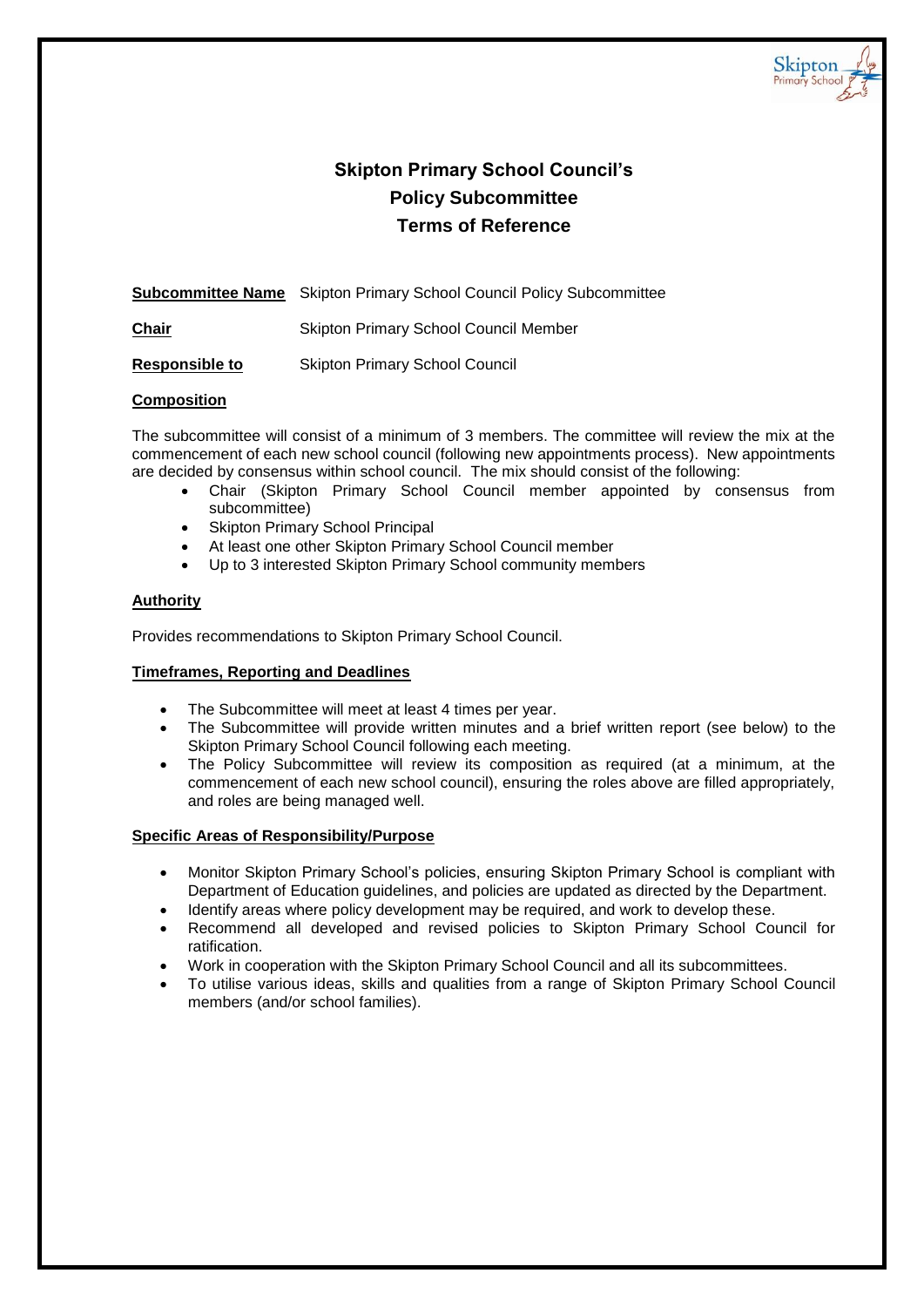

# **Skipton Primary School Council's Policy Subcommittee Terms of Reference**

**Subcommittee Name** Skipton Primary School Council Policy Subcommittee

**Chair** Skipton Primary School Council Member

**Responsible to** Skipton Primary School Council

## **Composition**

The subcommittee will consist of a minimum of 3 members. The committee will review the mix at the commencement of each new school council (following new appointments process). New appointments are decided by consensus within school council. The mix should consist of the following:

- Chair (Skipton Primary School Council member appointed by consensus from subcommittee)
- Skipton Primary School Principal
- At least one other Skipton Primary School Council member
- Up to 3 interested Skipton Primary School community members

#### **Authority**

Provides recommendations to Skipton Primary School Council.

## **Timeframes, Reporting and Deadlines**

- The Subcommittee will meet at least 4 times per year.
- The Subcommittee will provide written minutes and a brief written report (see below) to the Skipton Primary School Council following each meeting.
- The Policy Subcommittee will review its composition as required (at a minimum, at the commencement of each new school council), ensuring the roles above are filled appropriately, and roles are being managed well.

- Monitor Skipton Primary School's policies, ensuring Skipton Primary School is compliant with Department of Education guidelines, and policies are updated as directed by the Department.
- Identify areas where policy development may be required, and work to develop these.
- Recommend all developed and revised policies to Skipton Primary School Council for ratification.
- Work in cooperation with the Skipton Primary School Council and all its subcommittees.
- To utilise various ideas, skills and qualities from a range of Skipton Primary School Council members (and/or school families).